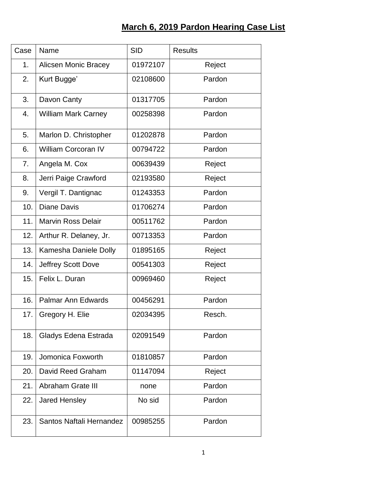## **March 6, 2019 Pardon Hearing Case List**

| Case | Name                        | <b>SID</b> | <b>Results</b> |
|------|-----------------------------|------------|----------------|
| 1.   | <b>Alicsen Monic Bracey</b> | 01972107   | Reject         |
| 2.   | Kurt Bugge'                 | 02108600   | Pardon         |
| 3.   | Davon Canty                 | 01317705   | Pardon         |
| 4.   | <b>William Mark Carney</b>  | 00258398   | Pardon         |
| 5.   | Marlon D. Christopher       | 01202878   | Pardon         |
| 6.   | <b>William Corcoran IV</b>  | 00794722   | Pardon         |
| 7.   | Angela M. Cox               | 00639439   | Reject         |
| 8.   | Jerri Paige Crawford        | 02193580   | Reject         |
| 9.   | Vergil T. Dantignac         | 01243353   | Pardon         |
| 10.  | <b>Diane Davis</b>          | 01706274   | Pardon         |
| 11.  | <b>Marvin Ross Delair</b>   | 00511762   | Pardon         |
| 12.  | Arthur R. Delaney, Jr.      | 00713353   | Pardon         |
| 13.  | Kamesha Daniele Dolly       | 01895165   | Reject         |
| 14.  | Jeffrey Scott Dove          | 00541303   | Reject         |
| 15.  | Felix L. Duran              | 00969460   | Reject         |
| 16.  | <b>Palmar Ann Edwards</b>   | 00456291   | Pardon         |
| 17.  | Gregory H. Elie             | 02034395   | Resch.         |
| 18.  | Gladys Edena Estrada        | 02091549   | Pardon         |
| 19.  | Jomonica Foxworth           | 01810857   | Pardon         |
| 20.  | David Reed Graham           | 01147094   | Reject         |
| 21.  | Abraham Grate III           | none       | Pardon         |
| 22.  | <b>Jared Hensley</b>        | No sid     | Pardon         |
| 23.  | Santos Naftali Hernandez    | 00985255   | Pardon         |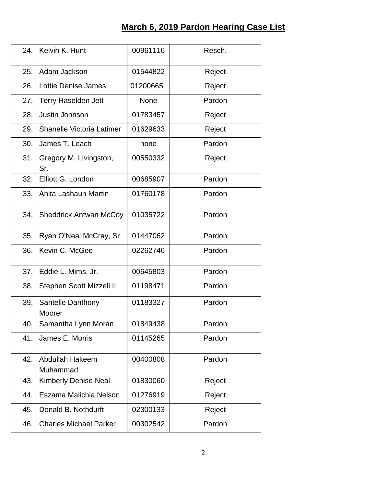## **March 6, 2019 Pardon Hearing Case List**

| 24. | Kelvin K. Hunt                   | 00961116    | Resch. |
|-----|----------------------------------|-------------|--------|
| 25. | Adam Jackson                     | 01544822    | Reject |
| 26. | <b>Lottie Denise James</b>       | 01200665    | Reject |
| 27. | <b>Terry Haselden Jett</b>       | <b>None</b> | Pardon |
| 28. | Justin Johnson                   | 01783457    | Reject |
| 29. | <b>Shanelle Victoria Latimer</b> | 01629633    | Reject |
| 30. | James T. Leach                   | none        | Pardon |
| 31. | Gregory M. Livingston,<br>Sr.    | 00550332    | Reject |
| 32. | Elliott G. London                | 00685907    | Pardon |
| 33. | Anita Lashaun Martin             | 01760178    | Pardon |
| 34. | <b>Sheddrick Antwan McCoy</b>    | 01035722    | Pardon |
| 35. | Ryan O'Neal McCray, Sr.          | 01447062    | Pardon |
| 36. | Kevin C. McGee                   | 02262746    | Pardon |
| 37. | Eddie L. Mims, Jr.               | 00645803    | Pardon |
| 38. | Stephen Scott Mizzell II         | 01198471    | Pardon |
| 39. | Santelle Danthony<br>Moorer      | 01183327    | Pardon |
| 40. | Samantha Lynn Moran              | 01849438    | Pardon |
| 41. | James E. Morris                  | 01145265    | Pardon |
| 42. | Abdullah Hakeem<br>Muhammad      | 00400808    | Pardon |
| 43. | <b>Kimberly Denise Neal</b>      | 01830060    | Reject |
| 44. | Eszama Malichia Nelson           | 01276919    | Reject |
| 45. | Donald B. Nothdurft              | 02300133    | Reject |
| 46. | <b>Charles Michael Parker</b>    | 00302542    | Pardon |